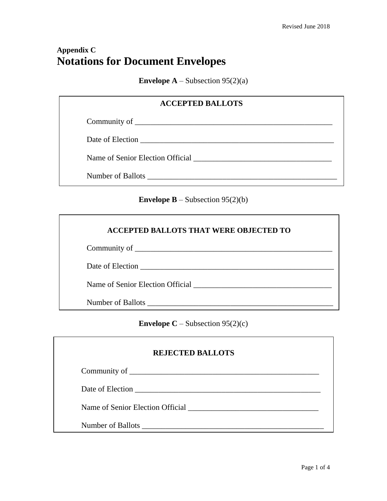## **Appendix C Notations for Document Envelopes**

**Envelope A** – Subsection  $95(2)(a)$ 

| <b>ACCEPTED BALLOTS</b> |  |
|-------------------------|--|
|                         |  |
|                         |  |
|                         |  |
|                         |  |

**Envelope B** – Subsection 95(2)(b)

| <b>ACCEPTED BALLOTS THAT WERE OBJECTED TO</b> |  |
|-----------------------------------------------|--|
|                                               |  |
|                                               |  |
| Name of Senior Election Official              |  |
| Number of Ballots Number of Ballots           |  |

**Envelope C** – Subsection  $95(2)(c)$ 

| <b>REJECTED BALLOTS</b>                                                                    |
|--------------------------------------------------------------------------------------------|
|                                                                                            |
| Date of Election                                                                           |
| Name of Senior Election Official <b>Election</b> Contains and the Senior Election Official |
| Number of Ballots                                                                          |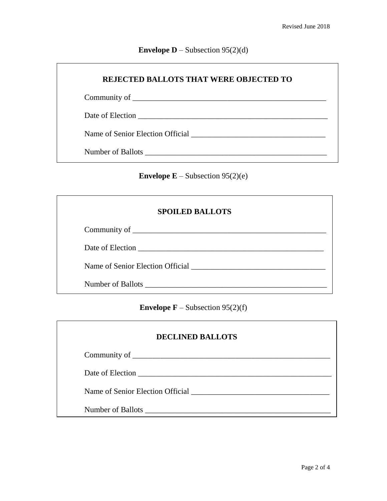## **Envelope D** – Subsection 95(2)(d)

| <b>REJECTED BALLOTS THAT WERE OBJECTED TO</b>                     |  |
|-------------------------------------------------------------------|--|
|                                                                   |  |
|                                                                   |  |
| Name of Senior Election Official Name of Senior Election Official |  |
|                                                                   |  |

**Envelope E** – Subsection 95(2)(e)

| <b>SPOILED BALLOTS</b>           |
|----------------------------------|
|                                  |
| Date of Election                 |
| Name of Senior Election Official |
| Number of Ballots                |

**Envelope**  $\mathbf{F}$  – Subsection 95(2)(f)

| <b>DECLINED BALLOTS</b>                                                                       |  |
|-----------------------------------------------------------------------------------------------|--|
|                                                                                               |  |
| Date of Election                                                                              |  |
| Name of Senior Election Official <b>Election</b> Contains a sense of Senior Election Official |  |
| Number of Ballots                                                                             |  |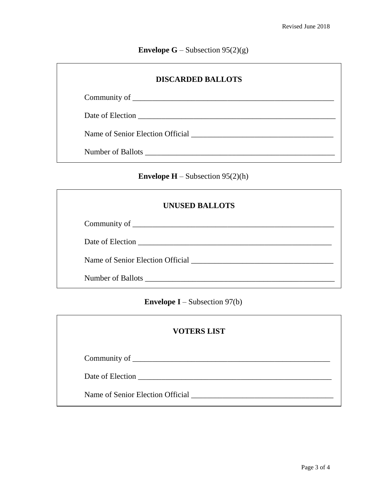**Envelope G** – Subsection  $95(2)(g)$ 

| <b>DISCARDED BALLOTS</b>                                                                   |
|--------------------------------------------------------------------------------------------|
|                                                                                            |
|                                                                                            |
| Name of Senior Election Official <b>Election</b> Contains and the Senior Election Official |
| Number of Ballots Number of Ballots                                                        |

**Envelope H** – Subsection  $95(2)(h)$ 

| <b>UNUSED BALLOTS</b>               |
|-------------------------------------|
|                                     |
| Date of Election                    |
| Name of Senior Election Official    |
| Number of Ballots Number of Ballots |

**Envelope I** – Subsection 97(b)

| <b>VOTERS LIST</b> |
|--------------------|
|--------------------|

Community of \_\_\_\_\_\_\_\_\_\_\_\_\_\_\_\_\_\_\_\_\_\_\_\_\_\_\_\_\_\_\_\_\_\_\_\_\_\_\_\_\_\_\_\_\_\_\_\_\_\_

Date of Election \_\_\_\_\_\_\_\_\_\_\_\_\_\_\_\_\_\_\_\_\_\_\_\_\_\_\_\_\_\_\_\_\_\_\_\_\_\_\_\_\_\_\_\_\_\_\_\_\_

Name of Senior Election Official \_\_\_\_\_\_\_\_\_\_\_\_\_\_\_\_\_\_\_\_\_\_\_\_\_\_\_\_\_\_\_\_\_\_\_\_